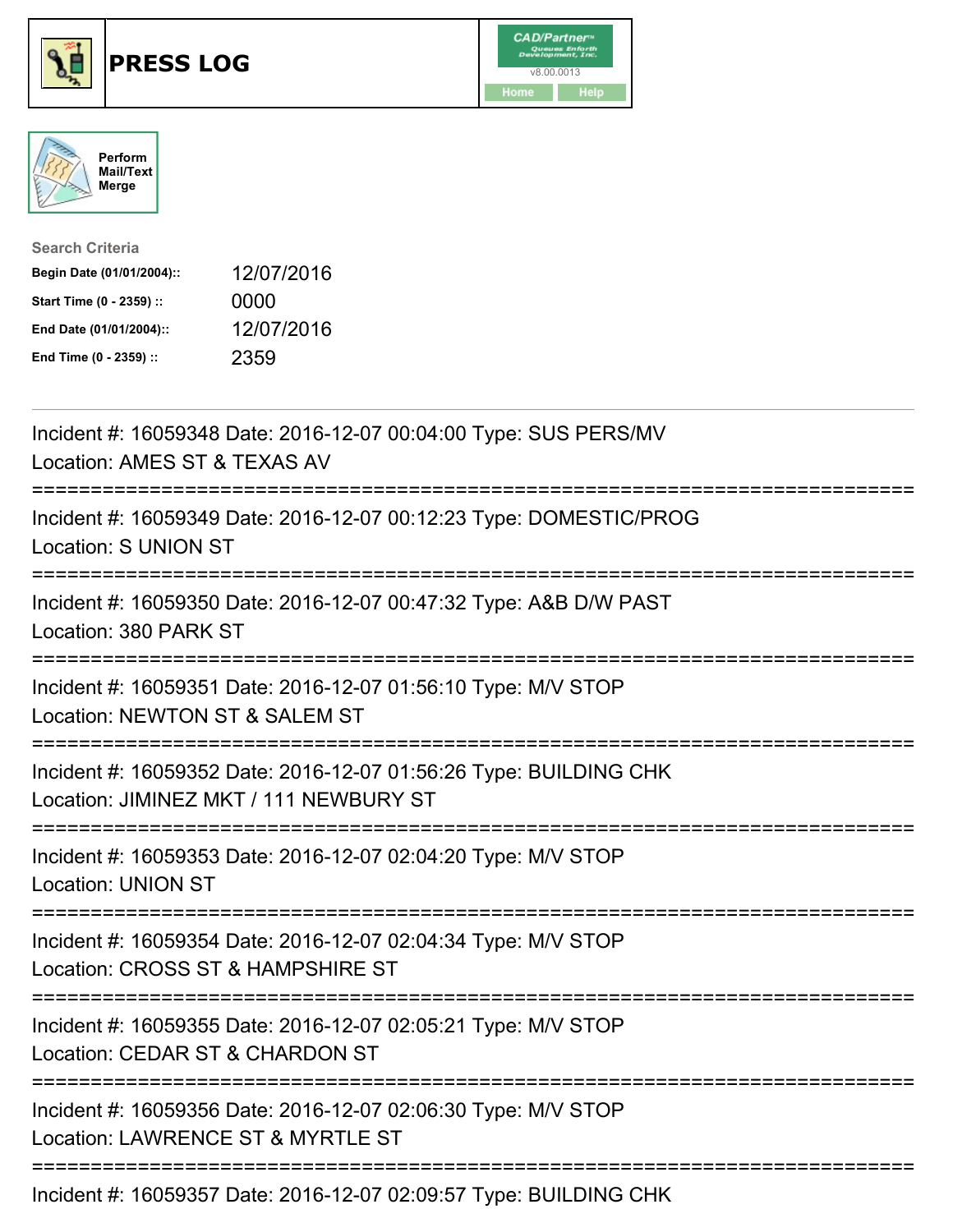





| <b>Search Criteria</b>    |            |
|---------------------------|------------|
| Begin Date (01/01/2004):: | 12/07/2016 |
| Start Time (0 - 2359) ::  | 0000       |
| End Date (01/01/2004)::   | 12/07/2016 |
| End Time (0 - 2359) ::    | 2359       |

| Incident #: 16059348 Date: 2016-12-07 00:04:00 Type: SUS PERS/MV<br>Location: AMES ST & TEXAS AV                                               |
|------------------------------------------------------------------------------------------------------------------------------------------------|
| Incident #: 16059349 Date: 2016-12-07 00:12:23 Type: DOMESTIC/PROG<br><b>Location: S UNION ST</b>                                              |
| Incident #: 16059350 Date: 2016-12-07 00:47:32 Type: A&B D/W PAST<br>Location: 380 PARK ST                                                     |
| Incident #: 16059351 Date: 2016-12-07 01:56:10 Type: M/V STOP<br>Location: NEWTON ST & SALEM ST                                                |
| Incident #: 16059352 Date: 2016-12-07 01:56:26 Type: BUILDING CHK<br>Location: JIMINEZ MKT / 111 NEWBURY ST<br>=============================== |
| Incident #: 16059353 Date: 2016-12-07 02:04:20 Type: M/V STOP<br><b>Location: UNION ST</b><br>:=====================================           |
| Incident #: 16059354 Date: 2016-12-07 02:04:34 Type: M/V STOP<br>Location: CROSS ST & HAMPSHIRE ST                                             |
| Incident #: 16059355 Date: 2016-12-07 02:05:21 Type: M/V STOP<br>Location: CEDAR ST & CHARDON ST                                               |
| Incident #: 16059356 Date: 2016-12-07 02:06:30 Type: M/V STOP<br>Location: LAWRENCE ST & MYRTLE ST                                             |
|                                                                                                                                                |

Incident #: 16059357 Date: 2016-12-07 02:09:57 Type: BUILDING CHK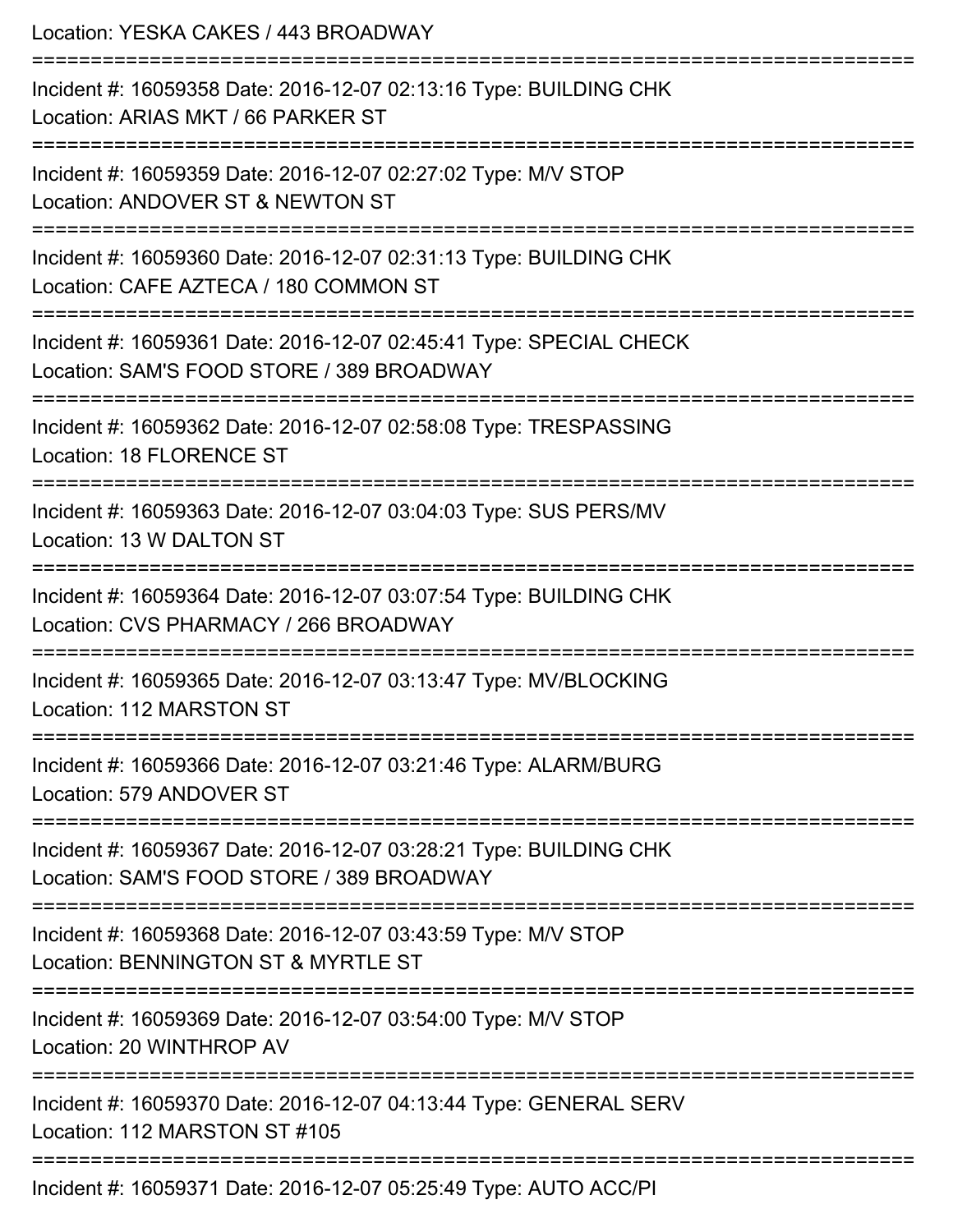Location: YESKA CAKES / 443 BROADWAY =========================================================================== Incident #: 16059358 Date: 2016-12-07 02:13:16 Type: BUILDING CHK Location: ARIAS MKT / 66 PARKER ST =========================================================================== Incident #: 16059359 Date: 2016-12-07 02:27:02 Type: M/V STOP Location: ANDOVER ST & NEWTON ST =========================================================================== Incident #: 16059360 Date: 2016-12-07 02:31:13 Type: BUILDING CHK Location: CAFE AZTECA / 180 COMMON ST =========================================================================== Incident #: 16059361 Date: 2016-12-07 02:45:41 Type: SPECIAL CHECK Location: SAM'S FOOD STORE / 389 BROADWAY =========================================================================== Incident #: 16059362 Date: 2016-12-07 02:58:08 Type: TRESPASSING Location: 18 FLORENCE ST =========================================================================== Incident #: 16059363 Date: 2016-12-07 03:04:03 Type: SUS PERS/MV Location: 13 W DALTON ST =========================================================================== Incident #: 16059364 Date: 2016-12-07 03:07:54 Type: BUILDING CHK Location: CVS PHARMACY / 266 BROADWAY =========================================================================== Incident #: 16059365 Date: 2016-12-07 03:13:47 Type: MV/BLOCKING Location: 112 MARSTON ST =========================================================================== Incident #: 16059366 Date: 2016-12-07 03:21:46 Type: ALARM/BURG Location: 579 ANDOVER ST =========================================================================== Incident #: 16059367 Date: 2016-12-07 03:28:21 Type: BUILDING CHK Location: SAM'S FOOD STORE / 389 BROADWAY =========================================================================== Incident #: 16059368 Date: 2016-12-07 03:43:59 Type: M/V STOP Location: BENNINGTON ST & MYRTLE ST =========================================================================== Incident #: 16059369 Date: 2016-12-07 03:54:00 Type: M/V STOP Location: 20 WINTHROP AV =========================================================================== Incident #: 16059370 Date: 2016-12-07 04:13:44 Type: GENERAL SERV Location: 112 MARSTON ST #105 =========================================================================== Incident #: 16059371 Date: 2016-12-07 05:25:49 Type: AUTO ACC/PI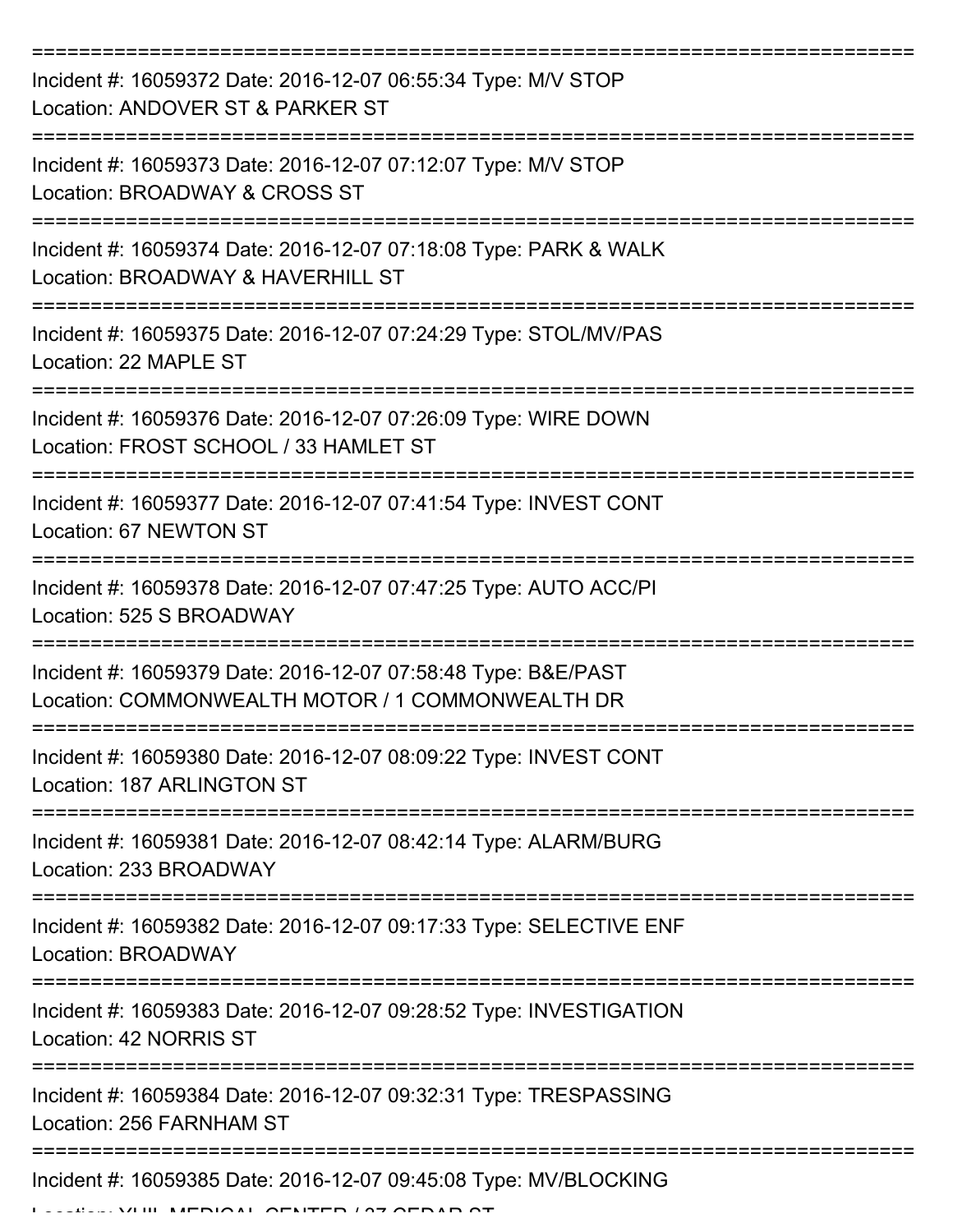| Incident #: 16059372 Date: 2016-12-07 06:55:34 Type: M/V STOP<br>Location: ANDOVER ST & PARKER ST                 |
|-------------------------------------------------------------------------------------------------------------------|
| Incident #: 16059373 Date: 2016-12-07 07:12:07 Type: M/V STOP<br>Location: BROADWAY & CROSS ST                    |
| Incident #: 16059374 Date: 2016-12-07 07:18:08 Type: PARK & WALK<br>Location: BROADWAY & HAVERHILL ST             |
| Incident #: 16059375 Date: 2016-12-07 07:24:29 Type: STOL/MV/PAS<br>Location: 22 MAPLE ST                         |
| Incident #: 16059376 Date: 2016-12-07 07:26:09 Type: WIRE DOWN<br>Location: FROST SCHOOL / 33 HAMLET ST           |
| Incident #: 16059377 Date: 2016-12-07 07:41:54 Type: INVEST CONT<br>Location: 67 NEWTON ST                        |
| Incident #: 16059378 Date: 2016-12-07 07:47:25 Type: AUTO ACC/PI<br>Location: 525 S BROADWAY                      |
| Incident #: 16059379 Date: 2016-12-07 07:58:48 Type: B&E/PAST<br>Location: COMMONWEALTH MOTOR / 1 COMMONWEALTH DR |
| Incident #: 16059380 Date: 2016-12-07 08:09:22 Type: INVEST CONT<br>Location: 187 ARLINGTON ST                    |
| Incident #: 16059381 Date: 2016-12-07 08:42:14 Type: ALARM/BURG<br>Location: 233 BROADWAY                         |
| Incident #: 16059382 Date: 2016-12-07 09:17:33 Type: SELECTIVE ENF<br>Location: BROADWAY                          |
| Incident #: 16059383 Date: 2016-12-07 09:28:52 Type: INVESTIGATION<br>Location: 42 NORRIS ST                      |
| Incident #: 16059384 Date: 2016-12-07 09:32:31 Type: TRESPASSING<br>Location: 256 FARNHAM ST                      |
| Incident #: 16059385 Date: 2016-12-07 09:45:08 Type: MV/BLOCKING                                                  |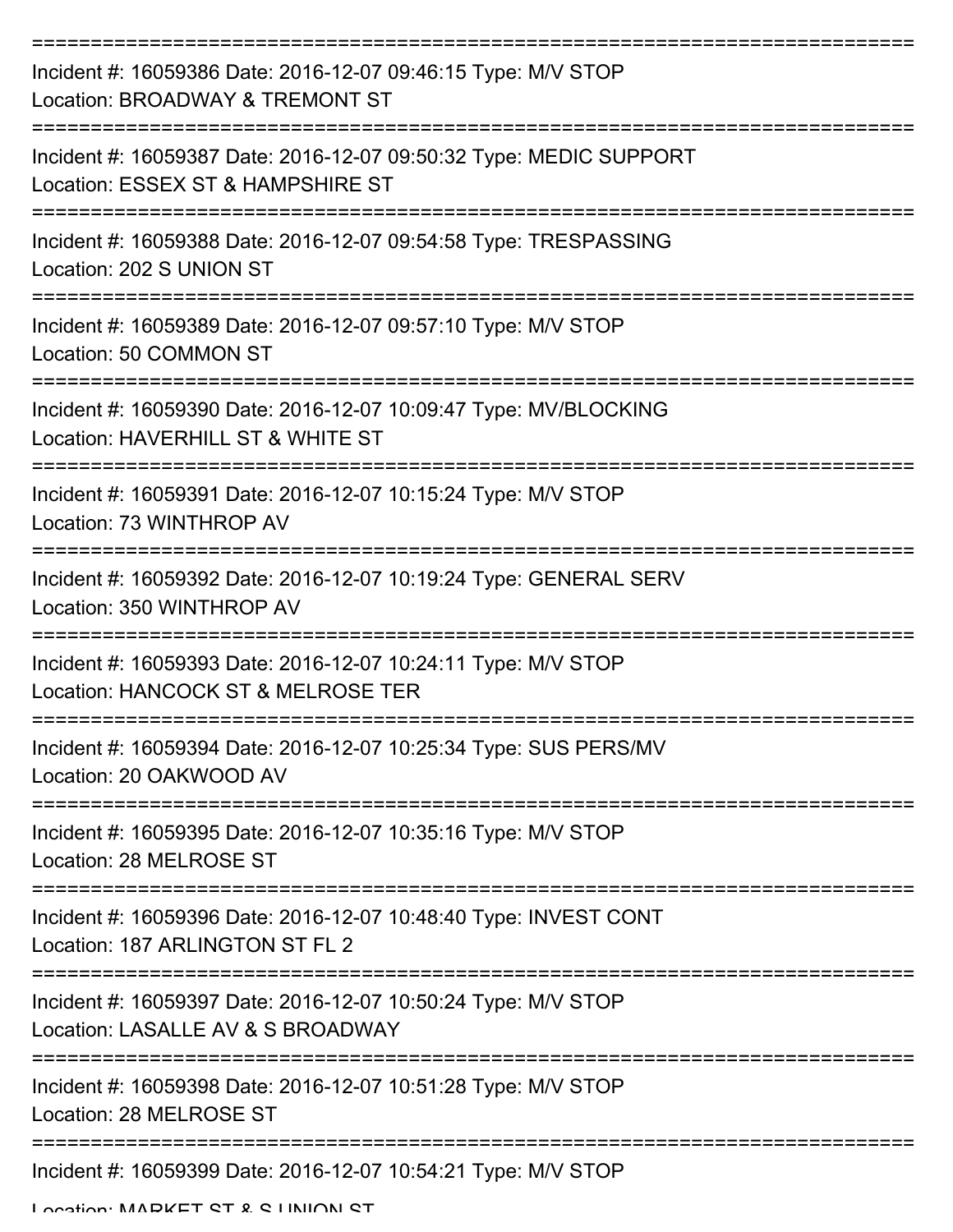| Incident #: 16059386 Date: 2016-12-07 09:46:15 Type: M/V STOP<br>Location: BROADWAY & TREMONT ST        |
|---------------------------------------------------------------------------------------------------------|
| Incident #: 16059387 Date: 2016-12-07 09:50:32 Type: MEDIC SUPPORT<br>Location: ESSEX ST & HAMPSHIRE ST |
| Incident #: 16059388 Date: 2016-12-07 09:54:58 Type: TRESPASSING<br>Location: 202 S UNION ST            |
| Incident #: 16059389 Date: 2016-12-07 09:57:10 Type: M/V STOP<br>Location: 50 COMMON ST                 |
| Incident #: 16059390 Date: 2016-12-07 10:09:47 Type: MV/BLOCKING<br>Location: HAVERHILL ST & WHITE ST   |
| Incident #: 16059391 Date: 2016-12-07 10:15:24 Type: M/V STOP<br>Location: 73 WINTHROP AV               |
| Incident #: 16059392 Date: 2016-12-07 10:19:24 Type: GENERAL SERV<br>Location: 350 WINTHROP AV          |
| Incident #: 16059393 Date: 2016-12-07 10:24:11 Type: M/V STOP<br>Location: HANCOCK ST & MELROSE TER     |
| Incident #: 16059394 Date: 2016-12-07 10:25:34 Type: SUS PERS/MV<br>Location: 20 OAKWOOD AV             |
| Incident #: 16059395 Date: 2016-12-07 10:35:16 Type: M/V STOP<br>Location: 28 MELROSE ST                |
| Incident #: 16059396 Date: 2016-12-07 10:48:40 Type: INVEST CONT<br>Location: 187 ARLINGTON ST FL 2     |
| Incident #: 16059397 Date: 2016-12-07 10:50:24 Type: M/V STOP<br>Location: LASALLE AV & S BROADWAY      |
| Incident #: 16059398 Date: 2016-12-07 10:51:28 Type: M/V STOP<br>Location: 28 MELROSE ST                |
| Incident #: 16059399 Date: 2016-12-07 10:54:21 Type: M/V STOP                                           |

Location: MADKET CT & C LINIION CT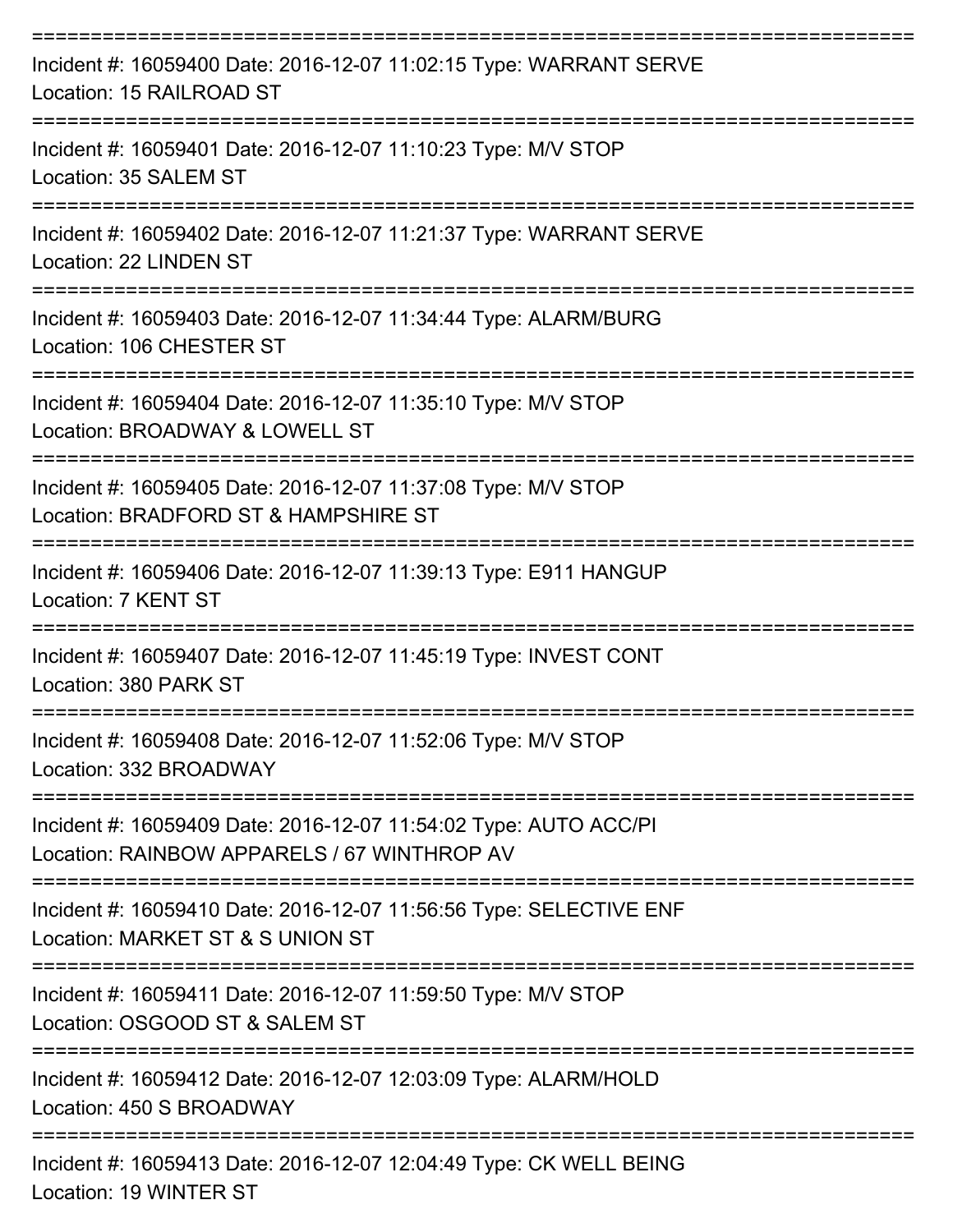| Incident #: 16059400 Date: 2016-12-07 11:02:15 Type: WARRANT SERVE<br>Location: 15 RAILROAD ST                  |
|-----------------------------------------------------------------------------------------------------------------|
| Incident #: 16059401 Date: 2016-12-07 11:10:23 Type: M/V STOP<br>Location: 35 SALEM ST                          |
| Incident #: 16059402 Date: 2016-12-07 11:21:37 Type: WARRANT SERVE<br>Location: 22 LINDEN ST                    |
| Incident #: 16059403 Date: 2016-12-07 11:34:44 Type: ALARM/BURG<br>Location: 106 CHESTER ST                     |
| Incident #: 16059404 Date: 2016-12-07 11:35:10 Type: M/V STOP<br>Location: BROADWAY & LOWELL ST                 |
| Incident #: 16059405 Date: 2016-12-07 11:37:08 Type: M/V STOP<br>Location: BRADFORD ST & HAMPSHIRE ST           |
| Incident #: 16059406 Date: 2016-12-07 11:39:13 Type: E911 HANGUP<br>Location: 7 KENT ST                         |
| Incident #: 16059407 Date: 2016-12-07 11:45:19 Type: INVEST CONT<br>Location: 380 PARK ST                       |
| Incident #: 16059408 Date: 2016-12-07 11:52:06 Type: M/V STOP<br>Location: 332 BROADWAY                         |
| Incident #: 16059409 Date: 2016-12-07 11:54:02 Type: AUTO ACC/PI<br>Location: RAINBOW APPARELS / 67 WINTHROP AV |
| Incident #: 16059410 Date: 2016-12-07 11:56:56 Type: SELECTIVE ENF<br>Location: MARKET ST & S UNION ST          |
| Incident #: 16059411 Date: 2016-12-07 11:59:50 Type: M/V STOP<br>Location: OSGOOD ST & SALEM ST                 |
| Incident #: 16059412 Date: 2016-12-07 12:03:09 Type: ALARM/HOLD<br>Location: 450 S BROADWAY                     |
| Incident #: 16059413 Date: 2016-12-07 12:04:49 Type: CK WELL BEING                                              |

Location: 19 WINTER ST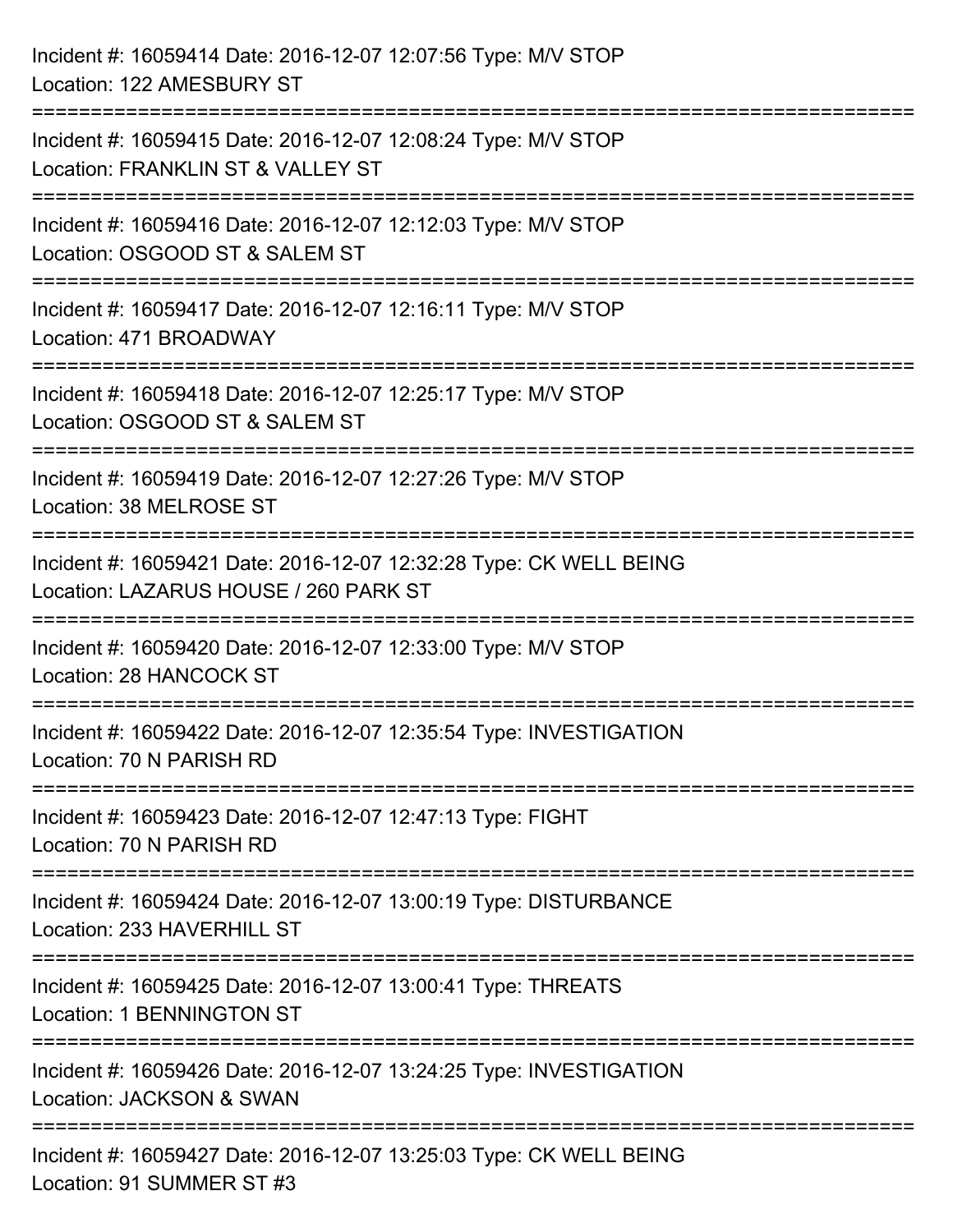| Incident #: 16059414 Date: 2016-12-07 12:07:56 Type: M/V STOP<br>Location: 122 AMESBURY ST                                         |
|------------------------------------------------------------------------------------------------------------------------------------|
| Incident #: 16059415 Date: 2016-12-07 12:08:24 Type: M/V STOP<br>Location: FRANKLIN ST & VALLEY ST                                 |
| Incident #: 16059416 Date: 2016-12-07 12:12:03 Type: M/V STOP<br>Location: OSGOOD ST & SALEM ST                                    |
| Incident #: 16059417 Date: 2016-12-07 12:16:11 Type: M/V STOP<br>Location: 471 BROADWAY                                            |
| Incident #: 16059418 Date: 2016-12-07 12:25:17 Type: M/V STOP<br>Location: OSGOOD ST & SALEM ST<br>=================               |
| Incident #: 16059419 Date: 2016-12-07 12:27:26 Type: M/V STOP<br>Location: 38 MELROSE ST                                           |
| Incident #: 16059421 Date: 2016-12-07 12:32:28 Type: CK WELL BEING<br>Location: LAZARUS HOUSE / 260 PARK ST                        |
| ==============<br>Incident #: 16059420 Date: 2016-12-07 12:33:00 Type: M/V STOP<br>Location: 28 HANCOCK ST                         |
| Incident #: 16059422 Date: 2016-12-07 12:35:54 Type: INVESTIGATION<br>Location: 70 N PARISH RD                                     |
| Incident #: 16059423 Date: 2016-12-07 12:47:13 Type: FIGHT<br>Location: 70 N PARISH RD                                             |
| --------------------------------<br>Incident #: 16059424 Date: 2016-12-07 13:00:19 Type: DISTURBANCE<br>Location: 233 HAVERHILL ST |
| Incident #: 16059425 Date: 2016-12-07 13:00:41 Type: THREATS<br>Location: 1 BENNINGTON ST                                          |
| Incident #: 16059426 Date: 2016-12-07 13:24:25 Type: INVESTIGATION<br>Location: JACKSON & SWAN                                     |
| Incident #: 16059427 Date: 2016-12-07 13:25:03 Type: CK WELL BEING<br>Location: 91 SUMMER ST #3                                    |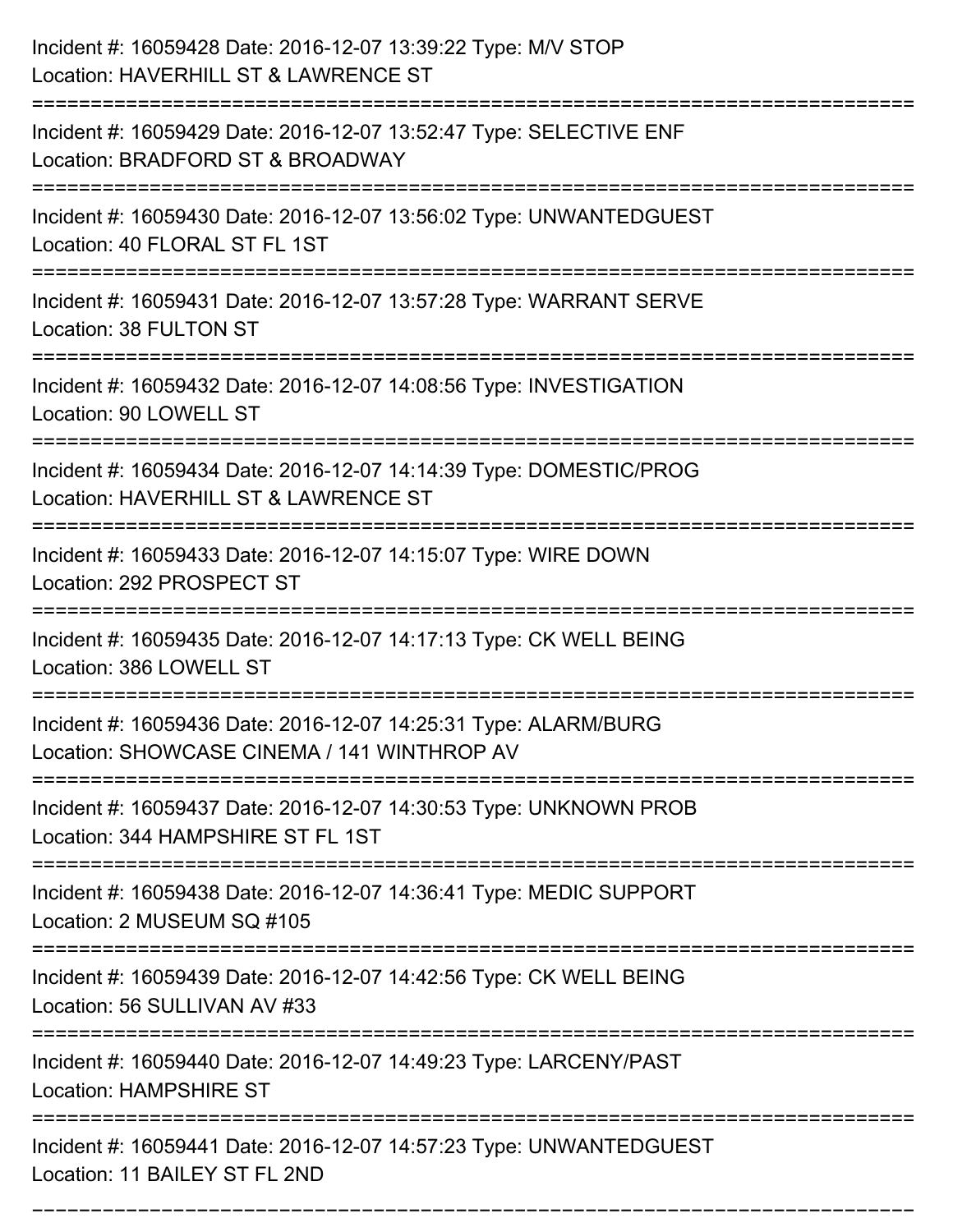| Incident #: 16059428 Date: 2016-12-07 13:39:22 Type: M/V STOP<br>Location: HAVERHILL ST & LAWRENCE ST                                |
|--------------------------------------------------------------------------------------------------------------------------------------|
| Incident #: 16059429 Date: 2016-12-07 13:52:47 Type: SELECTIVE ENF<br>Location: BRADFORD ST & BROADWAY                               |
| Incident #: 16059430 Date: 2016-12-07 13:56:02 Type: UNWANTEDGUEST<br>Location: 40 FLORAL ST FL 1ST                                  |
| Incident #: 16059431 Date: 2016-12-07 13:57:28 Type: WARRANT SERVE<br>Location: 38 FULTON ST                                         |
| Incident #: 16059432 Date: 2016-12-07 14:08:56 Type: INVESTIGATION<br>Location: 90 LOWELL ST<br>:=================================== |
| Incident #: 16059434 Date: 2016-12-07 14:14:39 Type: DOMESTIC/PROG<br>Location: HAVERHILL ST & LAWRENCE ST                           |
| Incident #: 16059433 Date: 2016-12-07 14:15:07 Type: WIRE DOWN<br>Location: 292 PROSPECT ST<br>=============                         |
| Incident #: 16059435 Date: 2016-12-07 14:17:13 Type: CK WELL BEING<br>Location: 386 LOWELL ST                                        |
| Incident #: 16059436 Date: 2016-12-07 14:25:31 Type: ALARM/BURG<br>Location: SHOWCASE CINEMA / 141 WINTHROP AV                       |
| Incident #: 16059437 Date: 2016-12-07 14:30:53 Type: UNKNOWN PROB<br>Location: 344 HAMPSHIRE ST FL 1ST                               |
| Incident #: 16059438 Date: 2016-12-07 14:36:41 Type: MEDIC SUPPORT<br>Location: 2 MUSEUM SQ #105                                     |
| Incident #: 16059439 Date: 2016-12-07 14:42:56 Type: CK WELL BEING<br>Location: 56 SULLIVAN AV #33                                   |
| Incident #: 16059440 Date: 2016-12-07 14:49:23 Type: LARCENY/PAST<br><b>Location: HAMPSHIRE ST</b>                                   |
| Incident #: 16059441 Date: 2016-12-07 14:57:23 Type: UNWANTEDGUEST<br>Location: 11 BAILEY ST FL 2ND                                  |

===========================================================================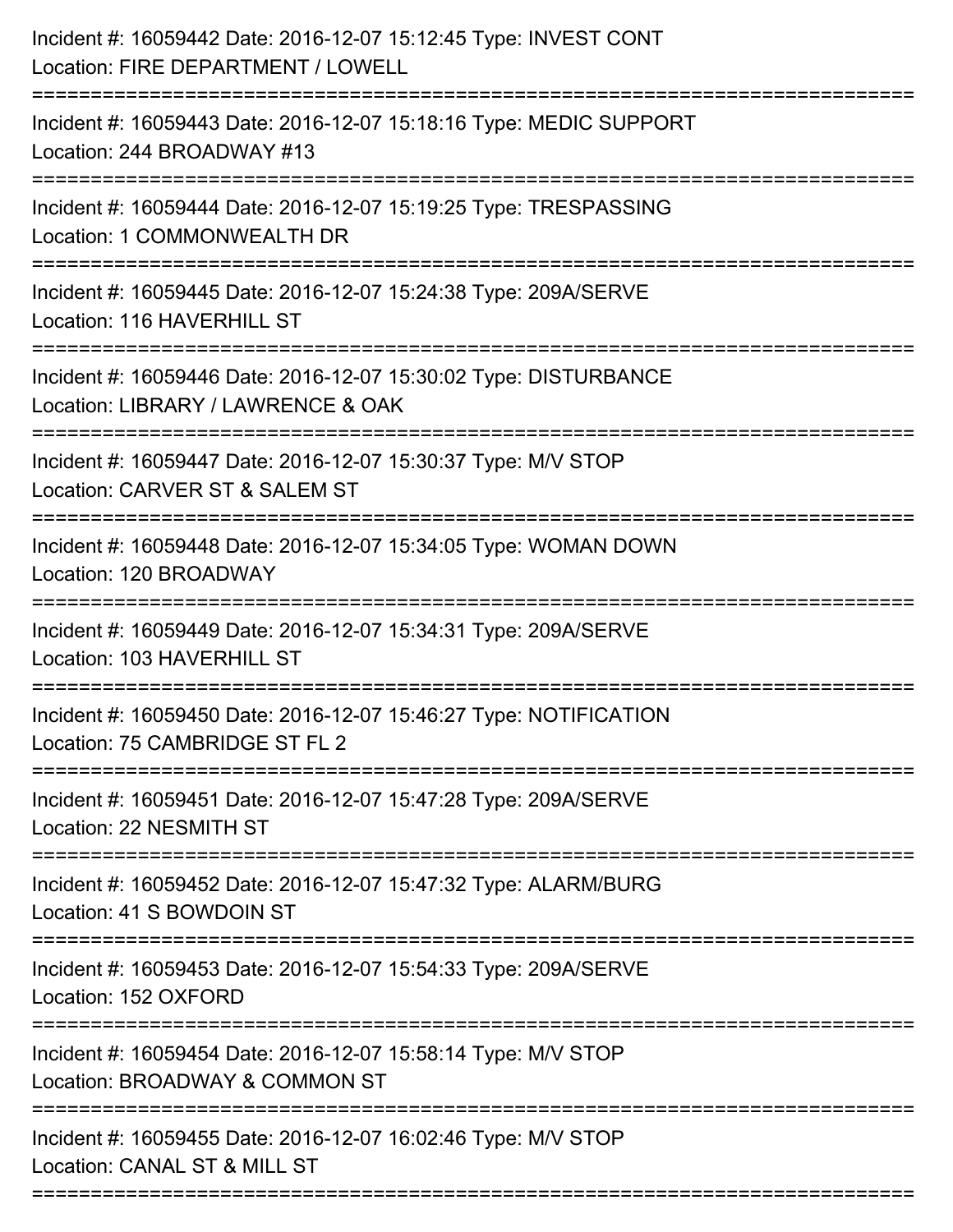| Incident #: 16059442 Date: 2016-12-07 15:12:45 Type: INVEST CONT<br>Location: FIRE DEPARTMENT / LOWELL                                  |
|-----------------------------------------------------------------------------------------------------------------------------------------|
| Incident #: 16059443 Date: 2016-12-07 15:18:16 Type: MEDIC SUPPORT<br>Location: 244 BROADWAY #13                                        |
| Incident #: 16059444 Date: 2016-12-07 15:19:25 Type: TRESPASSING<br>Location: 1 COMMONWEALTH DR<br>:=================================== |
| Incident #: 16059445 Date: 2016-12-07 15:24:38 Type: 209A/SERVE<br>Location: 116 HAVERHILL ST                                           |
| Incident #: 16059446 Date: 2016-12-07 15:30:02 Type: DISTURBANCE<br>Location: LIBRARY / LAWRENCE & OAK                                  |
| Incident #: 16059447 Date: 2016-12-07 15:30:37 Type: M/V STOP<br>Location: CARVER ST & SALEM ST                                         |
| Incident #: 16059448 Date: 2016-12-07 15:34:05 Type: WOMAN DOWN<br>Location: 120 BROADWAY                                               |
| Incident #: 16059449 Date: 2016-12-07 15:34:31 Type: 209A/SERVE<br>Location: 103 HAVERHILL ST                                           |
| Incident #: 16059450 Date: 2016-12-07 15:46:27 Type: NOTIFICATION<br>Location: 75 CAMBRIDGE ST FL 2                                     |
| Incident #: 16059451 Date: 2016-12-07 15:47:28 Type: 209A/SERVE<br>Location: 22 NESMITH ST                                              |
| Incident #: 16059452 Date: 2016-12-07 15:47:32 Type: ALARM/BURG<br>Location: 41 S BOWDOIN ST                                            |
| Incident #: 16059453 Date: 2016-12-07 15:54:33 Type: 209A/SERVE<br>Location: 152 OXFORD                                                 |
| Incident #: 16059454 Date: 2016-12-07 15:58:14 Type: M/V STOP<br>Location: BROADWAY & COMMON ST                                         |
| Incident #: 16059455 Date: 2016-12-07 16:02:46 Type: M/V STOP<br>Location: CANAL ST & MILL ST                                           |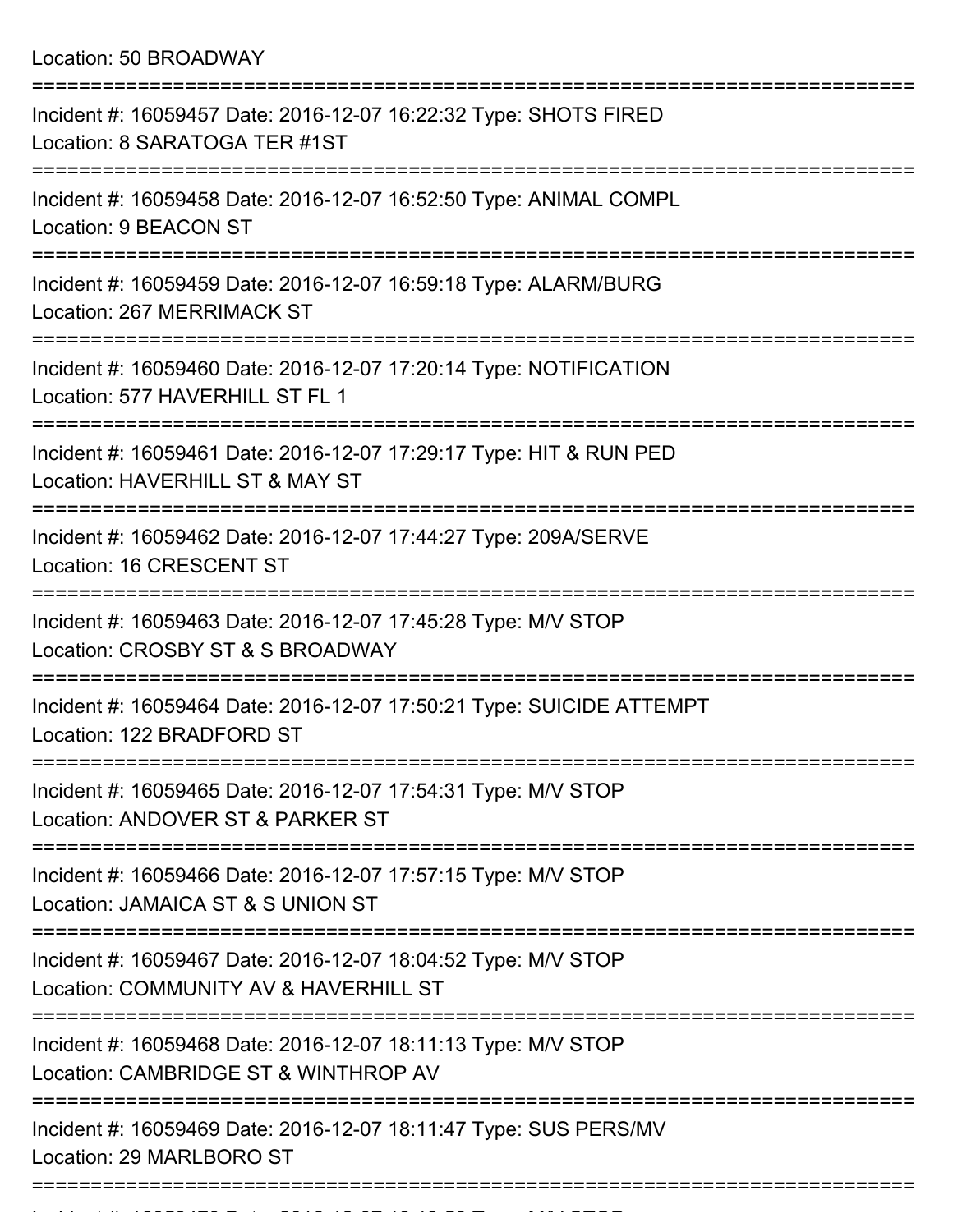Location: 50 BROADWAY

| Incident #: 16059457 Date: 2016-12-07 16:22:32 Type: SHOTS FIRED<br>Location: 8 SARATOGA TER #1ST                  |
|--------------------------------------------------------------------------------------------------------------------|
| Incident #: 16059458 Date: 2016-12-07 16:52:50 Type: ANIMAL COMPL<br>Location: 9 BEACON ST                         |
| Incident #: 16059459 Date: 2016-12-07 16:59:18 Type: ALARM/BURG<br>Location: 267 MERRIMACK ST                      |
| Incident #: 16059460 Date: 2016-12-07 17:20:14 Type: NOTIFICATION<br>Location: 577 HAVERHILL ST FL 1               |
| Incident #: 16059461 Date: 2016-12-07 17:29:17 Type: HIT & RUN PED<br>Location: HAVERHILL ST & MAY ST              |
| Incident #: 16059462 Date: 2016-12-07 17:44:27 Type: 209A/SERVE<br>Location: 16 CRESCENT ST                        |
| -------------<br>Incident #: 16059463 Date: 2016-12-07 17:45:28 Type: M/V STOP<br>Location: CROSBY ST & S BROADWAY |
| Incident #: 16059464 Date: 2016-12-07 17:50:21 Type: SUICIDE ATTEMPT<br>Location: 122 BRADFORD ST                  |
| Incident #: 16059465 Date: 2016-12-07 17:54:31 Type: M/V STOP<br>Location: ANDOVER ST & PARKER ST                  |
| Incident #: 16059466 Date: 2016-12-07 17:57:15 Type: M/V STOP<br>Location: JAMAICA ST & S UNION ST                 |
| Incident #: 16059467 Date: 2016-12-07 18:04:52 Type: M/V STOP<br>Location: COMMUNITY AV & HAVERHILL ST             |
| Incident #: 16059468 Date: 2016-12-07 18:11:13 Type: M/V STOP<br>Location: CAMBRIDGE ST & WINTHROP AV              |
| Incident #: 16059469 Date: 2016-12-07 18:11:47 Type: SUS PERS/MV<br>Location: 29 MARLBORO ST                       |
|                                                                                                                    |

Incident #: 16059470 Date: 2016 12 07 18:13:50 Type: M/V STOP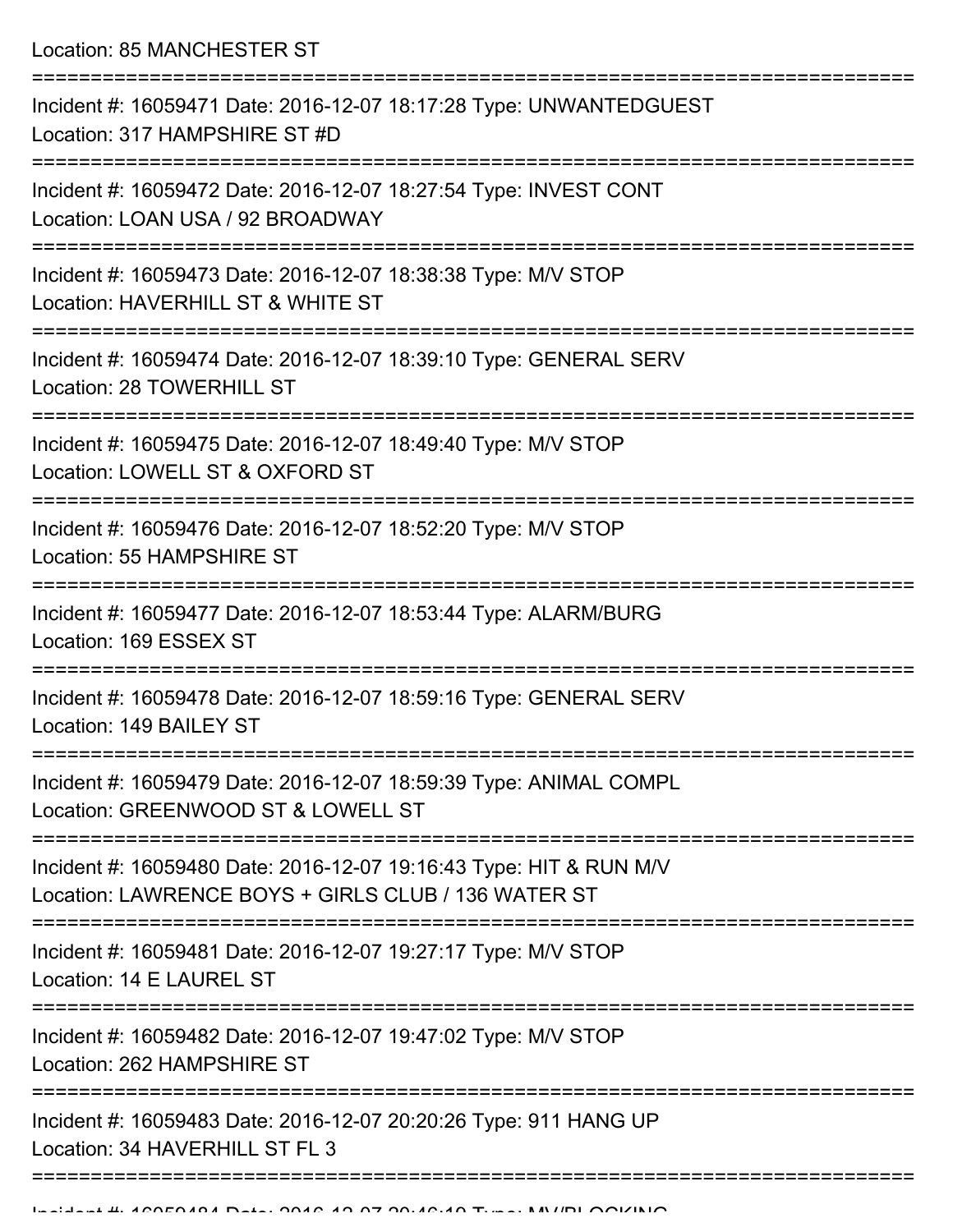Location: 85 MANCHESTER ST

| Incident #: 16059471 Date: 2016-12-07 18:17:28 Type: UNWANTEDGUEST<br>Location: 317 HAMPSHIRE ST #D                       |
|---------------------------------------------------------------------------------------------------------------------------|
| Incident #: 16059472 Date: 2016-12-07 18:27:54 Type: INVEST CONT<br>Location: LOAN USA / 92 BROADWAY                      |
| Incident #: 16059473 Date: 2016-12-07 18:38:38 Type: M/V STOP<br>Location: HAVERHILL ST & WHITE ST                        |
| Incident #: 16059474 Date: 2016-12-07 18:39:10 Type: GENERAL SERV<br>Location: 28 TOWERHILL ST                            |
| Incident #: 16059475 Date: 2016-12-07 18:49:40 Type: M/V STOP<br>Location: LOWELL ST & OXFORD ST                          |
| Incident #: 16059476 Date: 2016-12-07 18:52:20 Type: M/V STOP<br>Location: 55 HAMPSHIRE ST                                |
| Incident #: 16059477 Date: 2016-12-07 18:53:44 Type: ALARM/BURG<br>Location: 169 ESSEX ST                                 |
| Incident #: 16059478 Date: 2016-12-07 18:59:16 Type: GENERAL SERV<br>Location: 149 BAILEY ST                              |
| Incident #: 16059479 Date: 2016-12-07 18:59:39 Type: ANIMAL COMPL<br>Location: GREENWOOD ST & LOWELL ST                   |
| Incident #: 16059480 Date: 2016-12-07 19:16:43 Type: HIT & RUN M/V<br>Location: LAWRENCE BOYS + GIRLS CLUB / 136 WATER ST |
| Incident #: 16059481 Date: 2016-12-07 19:27:17 Type: M/V STOP<br>Location: 14 E LAUREL ST                                 |
| Incident #: 16059482 Date: 2016-12-07 19:47:02 Type: M/V STOP<br>Location: 262 HAMPSHIRE ST                               |
| Incident #: 16059483 Date: 2016-12-07 20:20:26 Type: 911 HANG UP<br>Location: 34 HAVERHILL ST FL 3                        |
|                                                                                                                           |